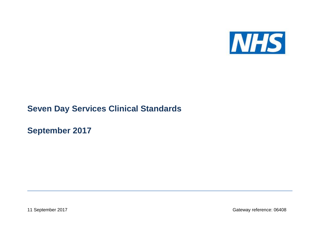

## **Seven Day Services Clinical Standards**

**September 2017**

11 September 2017 Gateway reference: 06408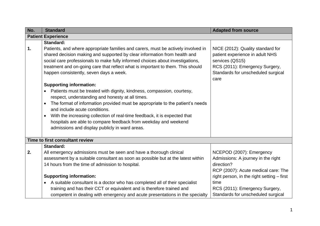| No. | <b>Standard</b>                                                                                                                                                                                                                                                                                                                                                                                                                                                                                            | <b>Adapted from source</b>                                                                                                                                              |
|-----|------------------------------------------------------------------------------------------------------------------------------------------------------------------------------------------------------------------------------------------------------------------------------------------------------------------------------------------------------------------------------------------------------------------------------------------------------------------------------------------------------------|-------------------------------------------------------------------------------------------------------------------------------------------------------------------------|
|     | <b>Patient Experience</b>                                                                                                                                                                                                                                                                                                                                                                                                                                                                                  |                                                                                                                                                                         |
| 1.  | <b>Standard:</b><br>Patients, and where appropriate families and carers, must be actively involved in<br>shared decision making and supported by clear information from health and<br>social care professionals to make fully informed choices about investigations,<br>treatment and on-going care that reflect what is important to them. This should<br>happen consistently, seven days a week.                                                                                                         | NICE (2012): Quality standard for<br>patient experience in adult NHS<br>services (QS15)<br>RCS (2011): Emergency Surgery,<br>Standards for unscheduled surgical<br>care |
|     | <b>Supporting information:</b><br>Patients must be treated with dignity, kindness, compassion, courtesy,<br>respect, understanding and honesty at all times.<br>The format of information provided must be appropriate to the patient's needs<br>$\bullet$<br>and include acute conditions.<br>With the increasing collection of real-time feedback, it is expected that<br>$\bullet$<br>hospitals are able to compare feedback from weekday and weekend<br>admissions and display publicly in ward areas. |                                                                                                                                                                         |
|     | Time to first consultant review                                                                                                                                                                                                                                                                                                                                                                                                                                                                            |                                                                                                                                                                         |
| 2.  | <b>Standard:</b><br>All emergency admissions must be seen and have a thorough clinical<br>assessment by a suitable consultant as soon as possible but at the latest within<br>14 hours from the time of admission to hospital.                                                                                                                                                                                                                                                                             | NCEPOD (2007): Emergency<br>Admissions: A journey in the right<br>direction?<br>RCP (2007): Acute medical care: The                                                     |
|     | <b>Supporting information:</b><br>A suitable consultant is a doctor who has completed all of their specialist<br>training and has their CCT or equivalent and is therefore trained and<br>competent in dealing with emergency and acute presentations in the specialty                                                                                                                                                                                                                                     | right person, in the right setting – first<br>time<br>RCS (2011): Emergency Surgery,<br>Standards for unscheduled surgical                                              |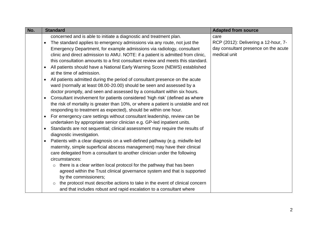| No. | <b>Standard</b>                                                                           | <b>Adapted from source</b>           |
|-----|-------------------------------------------------------------------------------------------|--------------------------------------|
|     | concerned and is able to initiate a diagnostic and treatment plan.                        | care                                 |
|     | The standard applies to emergency admissions via any route, not just the                  | RCP (2012): Delivering a 12-hour, 7- |
|     | Emergency Department, for example admissions via radiology, consultant                    | day consultant presence on the acute |
|     | clinic and direct admission to AMU. NOTE: if a patient is admitted from clinic,           | medical unit                         |
|     | this consultation amounts to a first consultant review and meets this standard.           |                                      |
|     | All patients should have a National Early Warning Score (NEWS) established                |                                      |
|     | at the time of admission.                                                                 |                                      |
|     | All patients admitted during the period of consultant presence on the acute<br>$\bullet$  |                                      |
|     | ward (normally at least 08.00-20.00) should be seen and assessed by a                     |                                      |
|     | doctor promptly, and seen and assessed by a consultant within six hours.                  |                                      |
|     | Consultant involvement for patients considered 'high risk' (defined as where<br>$\bullet$ |                                      |
|     | the risk of mortality is greater than 10%, or where a patient is unstable and not         |                                      |
|     | responding to treatment as expected), should be within one hour.                          |                                      |
|     | For emergency care settings without consultant leadership, review can be<br>$\bullet$     |                                      |
|     | undertaken by appropriate senior clinician e.g. GP-led inpatient units.                   |                                      |
|     | Standards are not sequential; clinical assessment may require the results of<br>$\bullet$ |                                      |
|     | diagnostic investigation.                                                                 |                                      |
|     | Patients with a clear diagnosis on a well-defined pathway (e.g. midwife-led               |                                      |
|     | maternity, simple superficial abscess management) may have their clinical                 |                                      |
|     | care delegated from a consultant to another clinician under the following                 |                                      |
|     | circumstances:                                                                            |                                      |
|     | there is a clear written local protocol for the pathway that has been<br>$\circ$          |                                      |
|     | agreed within the Trust clinical governance system and that is supported                  |                                      |
|     | by the commissioners;                                                                     |                                      |
|     | the protocol must describe actions to take in the event of clinical concern<br>$\circ$    |                                      |
|     | and that includes robust and rapid escalation to a consultant where                       |                                      |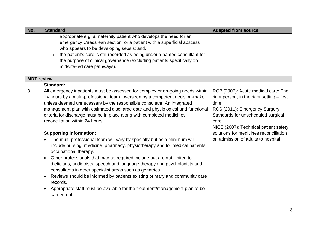| No.               | <b>Standard</b>                                                                                                                                                                                                                                                                                                                                                                                                                                                                                                                                                                                                                                                                                                                                                                                                                                                                                                                                                                                                                                                                                                                                   | <b>Adapted from source</b>                                                                                                                                                                                                                                                                         |
|-------------------|---------------------------------------------------------------------------------------------------------------------------------------------------------------------------------------------------------------------------------------------------------------------------------------------------------------------------------------------------------------------------------------------------------------------------------------------------------------------------------------------------------------------------------------------------------------------------------------------------------------------------------------------------------------------------------------------------------------------------------------------------------------------------------------------------------------------------------------------------------------------------------------------------------------------------------------------------------------------------------------------------------------------------------------------------------------------------------------------------------------------------------------------------|----------------------------------------------------------------------------------------------------------------------------------------------------------------------------------------------------------------------------------------------------------------------------------------------------|
|                   | appropriate e.g. a maternity patient who develops the need for an<br>emergency Caesarean section or a patient with a superficial abscess<br>who appears to be developing sepsis; and,<br>the patient's care is still recorded as being under a named consultant for<br>the purpose of clinical governance (excluding patients specifically on<br>midwife-led care pathways).                                                                                                                                                                                                                                                                                                                                                                                                                                                                                                                                                                                                                                                                                                                                                                      |                                                                                                                                                                                                                                                                                                    |
| <b>MDT</b> review |                                                                                                                                                                                                                                                                                                                                                                                                                                                                                                                                                                                                                                                                                                                                                                                                                                                                                                                                                                                                                                                                                                                                                   |                                                                                                                                                                                                                                                                                                    |
| 3.                | Standard:<br>All emergency inpatients must be assessed for complex or on-going needs within<br>14 hours by a multi-professional team, overseen by a competent decision-maker,<br>unless deemed unnecessary by the responsible consultant. An integrated<br>management plan with estimated discharge date and physiological and functional<br>criteria for discharge must be in place along with completed medicines<br>reconciliation within 24 hours.<br><b>Supporting information:</b><br>The multi-professional team will vary by specialty but as a minimum will<br>$\bullet$<br>include nursing, medicine, pharmacy, physiotherapy and for medical patients,<br>occupational therapy.<br>Other professionals that may be required include but are not limited to:<br>$\bullet$<br>dieticians, podiatrists, speech and language therapy and psychologists and<br>consultants in other specialist areas such as geriatrics.<br>Reviews should be informed by patients existing primary and community care<br>$\bullet$<br>records.<br>Appropriate staff must be available for the treatment/management plan to be<br>$\bullet$<br>carried out. | RCP (2007): Acute medical care: The<br>right person, in the right setting – first<br>time<br>RCS (2011): Emergency Surgery,<br>Standards for unscheduled surgical<br>care<br>NICE (2007): Technical patient safety<br>solutions for medicines reconciliation<br>on admission of adults to hospital |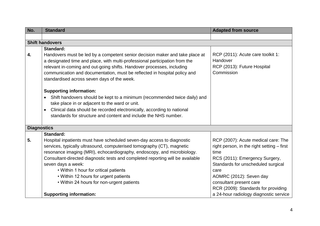| No.                | <b>Standard</b>                                                                                                                                                                                                                                                                                                                                                                                                                                                                        | <b>Adapted from source</b>                                                                                                                                                                                                                                             |
|--------------------|----------------------------------------------------------------------------------------------------------------------------------------------------------------------------------------------------------------------------------------------------------------------------------------------------------------------------------------------------------------------------------------------------------------------------------------------------------------------------------------|------------------------------------------------------------------------------------------------------------------------------------------------------------------------------------------------------------------------------------------------------------------------|
|                    |                                                                                                                                                                                                                                                                                                                                                                                                                                                                                        |                                                                                                                                                                                                                                                                        |
|                    | <b>Shift handovers</b>                                                                                                                                                                                                                                                                                                                                                                                                                                                                 |                                                                                                                                                                                                                                                                        |
| 4.                 | <b>Standard:</b><br>Handovers must be led by a competent senior decision maker and take place at<br>a designated time and place, with multi-professional participation from the<br>relevant in-coming and out-going shifts. Handover processes, including<br>communication and documentation, must be reflected in hospital policy and<br>standardised across seven days of the week.                                                                                                  | RCP (2011): Acute care toolkit 1:<br>Handover<br>RCP (2013): Future Hospital<br>Commission                                                                                                                                                                             |
|                    | <b>Supporting information:</b><br>Shift handovers should be kept to a minimum (recommended twice daily) and<br>take place in or adjacent to the ward or unit.<br>Clinical data should be recorded electronically, according to national<br>standards for structure and content and include the NHS number.                                                                                                                                                                             |                                                                                                                                                                                                                                                                        |
| <b>Diagnostics</b> |                                                                                                                                                                                                                                                                                                                                                                                                                                                                                        |                                                                                                                                                                                                                                                                        |
| 5.                 | <b>Standard:</b><br>Hospital inpatients must have scheduled seven-day access to diagnostic<br>services, typically ultrasound, computerised tomography (CT), magnetic<br>resonance imaging (MRI), echocardiography, endoscopy, and microbiology.<br>Consultant-directed diagnostic tests and completed reporting will be available<br>seven days a week:<br>• Within 1 hour for critical patients<br>• Within 12 hours for urgent patients<br>• Within 24 hours for non-urgent patients | RCP (2007): Acute medical care: The<br>right person, in the right setting - first<br>time<br>RCS (2011): Emergency Surgery,<br>Standards for unscheduled surgical<br>care<br>AOMRC (2012): Seven day<br>consultant present care<br>RCR (2009): Standards for providing |
|                    | <b>Supporting information:</b>                                                                                                                                                                                                                                                                                                                                                                                                                                                         | a 24-hour radiology diagnostic service                                                                                                                                                                                                                                 |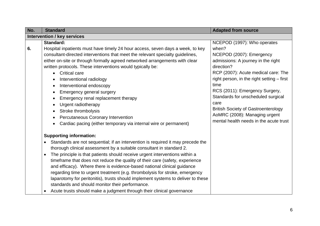| No. | <b>Standard</b>                                                                                                                                                                                                                                                                                                                                                                                                                                                                                                                                                                                                                                                                                                                                 | <b>Adapted from source</b>                                                                                                                                                                                                                                                                                                                                                                                                 |  |
|-----|-------------------------------------------------------------------------------------------------------------------------------------------------------------------------------------------------------------------------------------------------------------------------------------------------------------------------------------------------------------------------------------------------------------------------------------------------------------------------------------------------------------------------------------------------------------------------------------------------------------------------------------------------------------------------------------------------------------------------------------------------|----------------------------------------------------------------------------------------------------------------------------------------------------------------------------------------------------------------------------------------------------------------------------------------------------------------------------------------------------------------------------------------------------------------------------|--|
|     | <b>Intervention / key services</b>                                                                                                                                                                                                                                                                                                                                                                                                                                                                                                                                                                                                                                                                                                              |                                                                                                                                                                                                                                                                                                                                                                                                                            |  |
| 6.  | <b>Standard:</b><br>Hospital inpatients must have timely 24 hour access, seven days a week, to key<br>consultant-directed interventions that meet the relevant specialty guidelines,<br>either on-site or through formally agreed networked arrangements with clear<br>written protocols. These interventions would typically be:<br><b>Critical care</b><br>$\bullet$<br>Interventional radiology<br>Interventional endoscopy<br>Emergency general surgery<br>Emergency renal replacement therapy<br>Urgent radiotherapy<br>٠<br>Stroke thrombolysis<br>Percutaneous Coronary Intervention<br>Cardiac pacing (either temporary via internal wire or permanent)                                                                                 | NCEPOD (1997): Who operates<br>when?<br>NCEPOD (2007): Emergency<br>admissions: A journey in the right<br>direction?<br>RCP (2007): Acute medical care: The<br>right person, in the right setting - first<br>time<br>RCS (2011): Emergency Surgery,<br>Standards for unscheduled surgical<br>care<br><b>British Society of Gastroenterology</b><br>AoMRC (2008): Managing urgent<br>mental health needs in the acute trust |  |
|     | <b>Supporting information:</b><br>Standards are not sequential; if an intervention is required it may precede the<br>thorough clinical assessment by a suitable consultant in standard 2.<br>The principle is that patients should receive urgent interventions within a<br>$\bullet$<br>timeframe that does not reduce the quality of their care (safety, experience<br>and efficacy). Where there is evidence-based national clinical guidance<br>regarding time to urgent treatment (e.g. thrombolysis for stroke, emergency<br>laparotomy for peritonitis), trusts should implement systems to deliver to these<br>standards and should monitor their performance.<br>Acute trusts should make a judgment through their clinical governance |                                                                                                                                                                                                                                                                                                                                                                                                                            |  |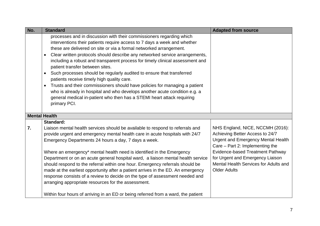| No. | <b>Standard</b>                                                                                                                                                                                                                                                                                                                                                                                                                                                                                                                                                                                                                                                                                                                                                                                                                               | <b>Adapted from source</b>                                                                                                                                                                                                                                                                         |
|-----|-----------------------------------------------------------------------------------------------------------------------------------------------------------------------------------------------------------------------------------------------------------------------------------------------------------------------------------------------------------------------------------------------------------------------------------------------------------------------------------------------------------------------------------------------------------------------------------------------------------------------------------------------------------------------------------------------------------------------------------------------------------------------------------------------------------------------------------------------|----------------------------------------------------------------------------------------------------------------------------------------------------------------------------------------------------------------------------------------------------------------------------------------------------|
|     | processes and in discussion with their commissioners regarding which<br>interventions their patients require access to 7 days a week and whether<br>these are delivered on site or via a formal networked arrangement.<br>Clear written protocols should describe any networked service arrangements,<br>$\bullet$<br>including a robust and transparent process for timely clinical assessment and<br>patient transfer between sites.<br>Such processes should be regularly audited to ensure that transferred<br>$\bullet$<br>patients receive timely high quality care.<br>Trusts and their commissioners should have policies for managing a patient<br>$\bullet$<br>who is already in hospital and who develops another acute condition e.g. a<br>general medical in-patient who then has a STEMI heart attack requiring<br>primary PCI. |                                                                                                                                                                                                                                                                                                    |
|     | <b>Mental Health</b>                                                                                                                                                                                                                                                                                                                                                                                                                                                                                                                                                                                                                                                                                                                                                                                                                          |                                                                                                                                                                                                                                                                                                    |
| 7.  | Standard:<br>Liaison mental health services should be available to respond to referrals and<br>provide urgent and emergency mental health care in acute hospitals with 24/7<br>Emergency Departments 24 hours a day, 7 days a week.<br>Where an emergency* mental health need is identified in the Emergency<br>Department or on an acute general hospital ward, a liaison mental health service<br>should respond to the referral within one hour. Emergency referrals should be<br>made at the earliest opportunity after a patient arrives in the ED. An emergency<br>response consists of a review to decide on the type of assessment needed and<br>arranging appropriate resources for the assessment.                                                                                                                                  | NHS England, NICE, NCCMH (2016):<br>Achieving Better Access to 24/7<br><b>Urgent and Emergency Mental Health</b><br>Care - Part 2: Implementing the<br><b>Evidence-based Treatment Pathway</b><br>for Urgent and Emergency Liaison<br>Mental Health Services for Adults and<br><b>Older Adults</b> |
|     | Within four hours of arriving in an ED or being referred from a ward, the patient                                                                                                                                                                                                                                                                                                                                                                                                                                                                                                                                                                                                                                                                                                                                                             |                                                                                                                                                                                                                                                                                                    |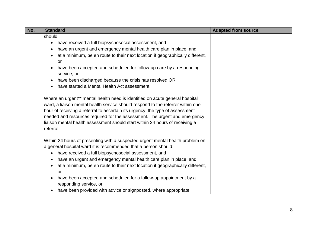| No. | <b>Standard</b>                                                                                                                                                                                                                                                                                                                                                                                                             | <b>Adapted from source</b> |
|-----|-----------------------------------------------------------------------------------------------------------------------------------------------------------------------------------------------------------------------------------------------------------------------------------------------------------------------------------------------------------------------------------------------------------------------------|----------------------------|
|     | should:                                                                                                                                                                                                                                                                                                                                                                                                                     |                            |
|     | have received a full biopsychosocial assessment, and<br>$\bullet$                                                                                                                                                                                                                                                                                                                                                           |                            |
|     | have an urgent and emergency mental health care plan in place, and<br>$\bullet$                                                                                                                                                                                                                                                                                                                                             |                            |
|     | at a minimum, be en route to their next location if geographically different,<br>$\bullet$                                                                                                                                                                                                                                                                                                                                  |                            |
|     | or                                                                                                                                                                                                                                                                                                                                                                                                                          |                            |
|     | have been accepted and scheduled for follow-up care by a responding<br>$\bullet$<br>service, or                                                                                                                                                                                                                                                                                                                             |                            |
|     | have been discharged because the crisis has resolved OR<br>$\bullet$                                                                                                                                                                                                                                                                                                                                                        |                            |
|     | have started a Mental Health Act assessment.<br>$\bullet$                                                                                                                                                                                                                                                                                                                                                                   |                            |
|     | Where an urgent** mental health need is identified on acute general hospital<br>ward, a liaison mental health service should respond to the referrer within one<br>hour of receiving a referral to ascertain its urgency, the type of assessment<br>needed and resources required for the assessment. The urgent and emergency<br>liaison mental health assessment should start within 24 hours of receiving a<br>referral. |                            |
|     | Within 24 hours of presenting with a suspected urgent mental health problem on                                                                                                                                                                                                                                                                                                                                              |                            |
|     | a general hospital ward it is recommended that a person should:                                                                                                                                                                                                                                                                                                                                                             |                            |
|     | have received a full biopsychosocial assessment, and<br>$\bullet$                                                                                                                                                                                                                                                                                                                                                           |                            |
|     | have an urgent and emergency mental health care plan in place, and<br>$\bullet$                                                                                                                                                                                                                                                                                                                                             |                            |
|     | at a minimum, be en route to their next location if geographically different,<br>$\bullet$<br>or                                                                                                                                                                                                                                                                                                                            |                            |
|     | have been accepted and scheduled for a follow-up appointment by a<br>$\bullet$<br>responding service, or                                                                                                                                                                                                                                                                                                                    |                            |
|     | have been provided with advice or signposted, where appropriate.                                                                                                                                                                                                                                                                                                                                                            |                            |
|     |                                                                                                                                                                                                                                                                                                                                                                                                                             |                            |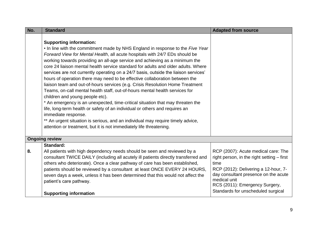| No. | <b>Standard</b>                                                                                                                                                                                                                                                                                                                                                                                                                                                                                                                                                                                                                                                                                                                                                                                                                                                                                                                                                                                                                                                                                | <b>Adapted from source</b>                                                                                                                                                                                                                                        |
|-----|------------------------------------------------------------------------------------------------------------------------------------------------------------------------------------------------------------------------------------------------------------------------------------------------------------------------------------------------------------------------------------------------------------------------------------------------------------------------------------------------------------------------------------------------------------------------------------------------------------------------------------------------------------------------------------------------------------------------------------------------------------------------------------------------------------------------------------------------------------------------------------------------------------------------------------------------------------------------------------------------------------------------------------------------------------------------------------------------|-------------------------------------------------------------------------------------------------------------------------------------------------------------------------------------------------------------------------------------------------------------------|
|     | <b>Supporting information:</b><br>. In line with the commitment made by NHS England in response to the Five Year<br>Forward View for Mental Health, all acute hospitals with 24/7 EDs should be<br>working towards providing an all-age service and achieving as a minimum the<br>core 24 liaison mental health service standard for adults and older adults. Where<br>services are not currently operating on a 24/7 basis, outside the liaison services'<br>hours of operation there may need to be effective collaboration between the<br>liaison team and out-of-hours services (e.g. Crisis Resolution Home Treatment<br>Teams, on-call mental health staff, out-of-hours mental health services for<br>children and young people etc).<br>* An emergency is an unexpected, time-critical situation that may threaten the<br>life, long-term health or safety of an individual or others and requires an<br>immediate response.<br>** An urgent situation is serious, and an individual may require timely advice,<br>attention or treatment, but it is not immediately life threatening. |                                                                                                                                                                                                                                                                   |
|     | <b>Ongoing review</b>                                                                                                                                                                                                                                                                                                                                                                                                                                                                                                                                                                                                                                                                                                                                                                                                                                                                                                                                                                                                                                                                          |                                                                                                                                                                                                                                                                   |
| 8.  | <b>Standard:</b><br>All patients with high dependency needs should be seen and reviewed by a<br>consultant TWICE DAILY (including all acutely ill patients directly transferred and<br>others who deteriorate). Once a clear pathway of care has been established,<br>patients should be reviewed by a consultant at least ONCE EVERY 24 HOURS,<br>seven days a week, unless it has been determined that this would not affect the<br>patient's care pathway.<br><b>Supporting information</b>                                                                                                                                                                                                                                                                                                                                                                                                                                                                                                                                                                                                 | RCP (2007): Acute medical care: The<br>right person, in the right setting - first<br>time<br>RCP (2012): Delivering a 12-hour, 7-<br>day consultant presence on the acute<br>medical unit<br>RCS (2011): Emergency Surgery,<br>Standards for unscheduled surgical |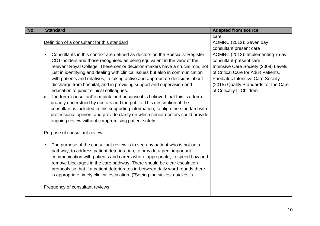| No. | <b>Standard</b>                                                                                                                                                                                                                                                                                                                                                                                                                                                                                                                                                                                                                                                                                                                                                                                                                                                                                                                                        | <b>Adapted from source</b>                                                                                                                                                                                                                              |
|-----|--------------------------------------------------------------------------------------------------------------------------------------------------------------------------------------------------------------------------------------------------------------------------------------------------------------------------------------------------------------------------------------------------------------------------------------------------------------------------------------------------------------------------------------------------------------------------------------------------------------------------------------------------------------------------------------------------------------------------------------------------------------------------------------------------------------------------------------------------------------------------------------------------------------------------------------------------------|---------------------------------------------------------------------------------------------------------------------------------------------------------------------------------------------------------------------------------------------------------|
|     | Definition of a consultant for this standard                                                                                                                                                                                                                                                                                                                                                                                                                                                                                                                                                                                                                                                                                                                                                                                                                                                                                                           | care<br>AOMRC (2012): Seven day<br>consultant present care                                                                                                                                                                                              |
|     | Consultants in this context are defined as doctors on the Specialist Register,<br>$\bullet$<br>CCT-holders and those recognised as being equivalent in the view of the<br>relevant Royal College. These senior decision-makers have a crucial role, not<br>just in identifying and dealing with clinical issues but also in communication<br>with patients and relatives, in taking active and appropriate decisions about<br>discharge from hospital, and in providing support and supervision and<br>education to junior clinical colleagues.<br>The term 'consultant' is maintained because it is believed that this is a term<br>$\bullet$<br>broadly understood by doctors and the public. This description of the<br>consultant is included in this supporting information, to align the standard with<br>professional opinion, and provide clarity on which senior doctors could provide<br>ongoing review without compromising patient safety. | AOMRC (2013): Implementing 7 day<br>consultant-present care<br>Intensive Care Society (2009) Levels<br>of Critical Care for Adult Patients.<br>Paediatric Intensive Care Society<br>(2015) Quality Standards for the Care<br>of Critically III Children |
|     | Purpose of consultant review                                                                                                                                                                                                                                                                                                                                                                                                                                                                                                                                                                                                                                                                                                                                                                                                                                                                                                                           |                                                                                                                                                                                                                                                         |
|     | The purpose of the consultant review is to see any patient who is not on a<br>pathway, to address patient deterioration, to provide urgent important<br>communication with patients and carers where appropriate, to speed flow and<br>remove blockages in the care pathway. There should be clear escalation<br>protocols so that if a patient deteriorates in-between daily ward rounds there<br>is appropriate timely clinical escalation. ("Seeing the sickest quickest").                                                                                                                                                                                                                                                                                                                                                                                                                                                                         |                                                                                                                                                                                                                                                         |
|     | <b>Frequency of consultant reviews</b>                                                                                                                                                                                                                                                                                                                                                                                                                                                                                                                                                                                                                                                                                                                                                                                                                                                                                                                 |                                                                                                                                                                                                                                                         |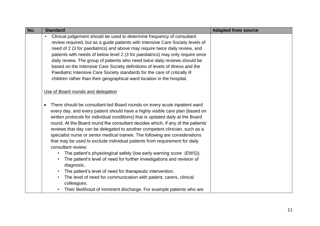| No. | <b>Standard</b>                                                                                                                                                                                                                                                                                                                                                                                                                                                                                                                                                                                                                                                                                      | <b>Adapted from source</b> |
|-----|------------------------------------------------------------------------------------------------------------------------------------------------------------------------------------------------------------------------------------------------------------------------------------------------------------------------------------------------------------------------------------------------------------------------------------------------------------------------------------------------------------------------------------------------------------------------------------------------------------------------------------------------------------------------------------------------------|----------------------------|
|     | Clinical judgement should be used to determine frequency of consultant                                                                                                                                                                                                                                                                                                                                                                                                                                                                                                                                                                                                                               |                            |
|     | review required, but as a guide patients with Intensive Care Society levels of                                                                                                                                                                                                                                                                                                                                                                                                                                                                                                                                                                                                                       |                            |
|     | need of 2 (3 for paediatrics) and above may require twice daily review, and                                                                                                                                                                                                                                                                                                                                                                                                                                                                                                                                                                                                                          |                            |
|     | patients with needs of below level 2 (3 for paediatrics) may only require once                                                                                                                                                                                                                                                                                                                                                                                                                                                                                                                                                                                                                       |                            |
|     | daily review. The group of patients who need twice daily reviews should be                                                                                                                                                                                                                                                                                                                                                                                                                                                                                                                                                                                                                           |                            |
|     | based on the Intensive Care Society definitions of levels of illness and the                                                                                                                                                                                                                                                                                                                                                                                                                                                                                                                                                                                                                         |                            |
|     | Paediatric Intensive Care Society standards for the care of critically ill                                                                                                                                                                                                                                                                                                                                                                                                                                                                                                                                                                                                                           |                            |
|     | children rather than their geographical ward location in the hospital.                                                                                                                                                                                                                                                                                                                                                                                                                                                                                                                                                                                                                               |                            |
|     |                                                                                                                                                                                                                                                                                                                                                                                                                                                                                                                                                                                                                                                                                                      |                            |
|     | Use of Board rounds and delegation                                                                                                                                                                                                                                                                                                                                                                                                                                                                                                                                                                                                                                                                   |                            |
|     | There should be consultant-led Board rounds on every acute inpatient ward<br>$\bullet$<br>every day, and every patient should have a highly visible care plan (based on<br>written protocols for individual conditions) that is updated daily at the Board<br>round. At the Board round the consultant decides which, if any of the patients'<br>reviews that day can be delegated to another competent clinician, such as a<br>specialist nurse or senior medical trainee. The following are considerations<br>that may be used to exclude individual patients from requirement for daily<br>consultant review:<br>The patient's physiological safety (low early warning score (EWS)).<br>$\bullet$ |                            |
|     | The patient's level of need for further investigations and revision of<br>diagnosis                                                                                                                                                                                                                                                                                                                                                                                                                                                                                                                                                                                                                  |                            |
|     | The patient's level of need for therapeutic intervention.<br>$\bullet$                                                                                                                                                                                                                                                                                                                                                                                                                                                                                                                                                                                                                               |                            |
|     | The level of need for communication with patient, carers, clinical<br>$\bullet$<br>colleagues.                                                                                                                                                                                                                                                                                                                                                                                                                                                                                                                                                                                                       |                            |
|     | Their likelihood of imminent discharge. For example patients who are                                                                                                                                                                                                                                                                                                                                                                                                                                                                                                                                                                                                                                 |                            |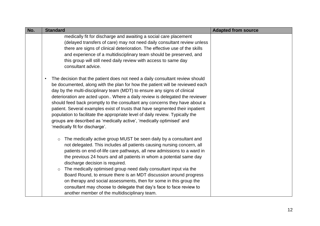| No. | <b>Standard</b>                                                                                                                                                                                                                                                                                                                                                                                                                                                                                                                                                                                                                                                                               | <b>Adapted from source</b> |
|-----|-----------------------------------------------------------------------------------------------------------------------------------------------------------------------------------------------------------------------------------------------------------------------------------------------------------------------------------------------------------------------------------------------------------------------------------------------------------------------------------------------------------------------------------------------------------------------------------------------------------------------------------------------------------------------------------------------|----------------------------|
|     | medically fit for discharge and awaiting a social care placement<br>(delayed transfers of care) may not need daily consultant review unless<br>there are signs of clinical deterioration. The effective use of the skills<br>and experience of a multidisciplinary team should be preserved, and<br>this group will still need daily review with access to same day<br>consultant advice.                                                                                                                                                                                                                                                                                                     |                            |
|     | The decision that the patient does not need a daily consultant review should<br>be documented, along with the plan for how the patient will be reviewed each<br>day by the multi-disciplinary team (MDT) to ensure any signs of clinical<br>deterioration are acted upon Where a daily review is delegated the reviewer<br>should feed back promptly to the consultant any concerns they have about a<br>patient. Several examples exist of trusts that have segmented their inpatient<br>population to facilitate the appropriate level of daily review. Typically the<br>groups are described as 'medically active', 'medically optimised' and<br>'medically fit for discharge'.            |                            |
|     | The medically active group MUST be seen daily by a consultant and<br>$\circ$<br>not delegated. This includes all patients causing nursing concern, all<br>patients on end-of-life care pathways, all new admissions to a ward in<br>the previous 24 hours and all patients in whom a potential same day<br>discharge decision is required.<br>The medically optimised group need daily consultant input via the<br>$\circ$<br>Board Round, to ensure there is an MDT discussion around progress<br>on therapy and social assessments, then for some in this group the<br>consultant may choose to delegate that day's face to face review to<br>another member of the multidisciplinary team. |                            |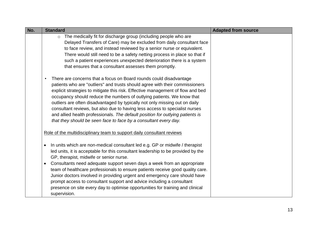| No. | <b>Standard</b>                                                                                                                                                                                                                                                                                                                                                                                                                                                                                                                                                                                                                                  | <b>Adapted from source</b> |
|-----|--------------------------------------------------------------------------------------------------------------------------------------------------------------------------------------------------------------------------------------------------------------------------------------------------------------------------------------------------------------------------------------------------------------------------------------------------------------------------------------------------------------------------------------------------------------------------------------------------------------------------------------------------|----------------------------|
|     | The medically fit for discharge group (including people who are<br>$\circ$<br>Delayed Transfers of Care) may be excluded from daily consultant face<br>to face review, and instead reviewed by a senior nurse or equivalent.<br>There would still need to be a safety netting process in place so that if<br>such a patient experiences unexpected deterioration there is a system<br>that ensures that a consultant assesses them promptly.                                                                                                                                                                                                     |                            |
|     | There are concerns that a focus on Board rounds could disadvantage<br>$\bullet$<br>patients who are "outliers" and trusts should agree with their commissioners<br>explicit strategies to mitigate this risk. Effective management of flow and bed<br>occupancy should reduce the numbers of outlying patients. We know that<br>outliers are often disadvantaged by typically not only missing out on daily<br>consultant reviews, but also due to having less access to specialist nurses<br>and allied health professionals. The default position for outlying patients is<br>that they should be seen face to face by a consultant every day. |                            |
|     | Role of the multidisciplinary team to support daily consultant reviews                                                                                                                                                                                                                                                                                                                                                                                                                                                                                                                                                                           |                            |
|     | In units which are non-medical consultant led e.g. GP or midwife / therapist<br>$\bullet$<br>led units, it is acceptable for this consultant leadership to be provided by the<br>GP, therapist, midwife or senior nurse.<br>Consultants need adequate support seven days a week from an appropriate<br>$\bullet$<br>team of healthcare professionals to ensure patients receive good quality care.<br>Junior doctors involved in providing urgent and emergency care should have<br>prompt access to consultant support and advice including a consultant<br>presence on site every day to optimise opportunities for training and clinical      |                            |
|     | supervision.                                                                                                                                                                                                                                                                                                                                                                                                                                                                                                                                                                                                                                     |                            |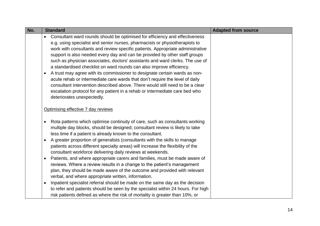| No. | <b>Standard</b>                                                                                                                                                                                                                                                                                                                                                                                                                                                                                                                                                                                                                                                                                                                                                                                                                                              | <b>Adapted from source</b> |
|-----|--------------------------------------------------------------------------------------------------------------------------------------------------------------------------------------------------------------------------------------------------------------------------------------------------------------------------------------------------------------------------------------------------------------------------------------------------------------------------------------------------------------------------------------------------------------------------------------------------------------------------------------------------------------------------------------------------------------------------------------------------------------------------------------------------------------------------------------------------------------|----------------------------|
|     | Consultant ward rounds should be optimised for efficiency and effectiveness<br>e.g. using specialist and senior nurses, pharmacists or physiotherapists to<br>work with consultants and review specific patients. Appropriate administrative<br>support is also needed every day and can be provided by other staff groups<br>such as physician associates, doctors' assistants and ward clerks. The use of<br>a standardised checklist on ward rounds can also improve efficiency.<br>A trust may agree with its commissioner to designate certain wards as non-<br>$\bullet$<br>acute rehab or intermediate care wards that don't require the level of daily<br>consultant intervention described above. There would still need to be a clear<br>escalation protocol for any patient in a rehab or intermediate care bed who<br>deteriorates unexpectedly. |                            |
|     | Optimising effective 7 day reviews                                                                                                                                                                                                                                                                                                                                                                                                                                                                                                                                                                                                                                                                                                                                                                                                                           |                            |
|     | Rota patterns which optimise continuity of care, such as consultants working<br>$\bullet$<br>multiple day blocks, should be designed; consultant review is likely to take<br>less time if a patient is already known to the consultant.<br>A greater proportion of generalists (consultants with the skills to manage<br>$\bullet$<br>patients across different specialty areas) will increase the flexibility of the<br>consultant workforce delivering daily reviews at weekends.<br>Patients, and where appropriate carers and families, must be made aware of<br>$\bullet$<br>reviews. Where a review results in a change to the patient's management<br>plan, they should be made aware of the outcome and provided with relevant<br>verbal, and where appropriate written, information.                                                                |                            |
|     | Inpatient specialist referral should be made on the same day as the decision<br>$\bullet$<br>to refer and patients should be seen by the specialist within 24 hours. For high<br>risk patients defined as where the risk of mortality is greater than 10%, or                                                                                                                                                                                                                                                                                                                                                                                                                                                                                                                                                                                                |                            |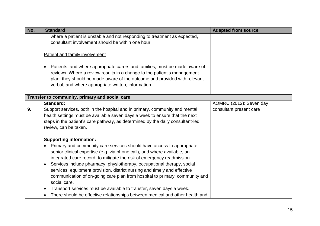| No. | <b>Standard</b>                                                                                                                                                                                                                                                                                                                                                                                                                                                                            | <b>Adapted from source</b> |
|-----|--------------------------------------------------------------------------------------------------------------------------------------------------------------------------------------------------------------------------------------------------------------------------------------------------------------------------------------------------------------------------------------------------------------------------------------------------------------------------------------------|----------------------------|
|     | where a patient is unstable and not responding to treatment as expected,<br>consultant involvement should be within one hour.                                                                                                                                                                                                                                                                                                                                                              |                            |
|     | Patient and family involvement                                                                                                                                                                                                                                                                                                                                                                                                                                                             |                            |
|     | Patients, and where appropriate carers and families, must be made aware of<br>$\bullet$<br>reviews. Where a review results in a change to the patient's management<br>plan, they should be made aware of the outcome and provided with relevant<br>verbal, and where appropriate written, information.                                                                                                                                                                                     |                            |
|     | Transfer to community, primary and social care                                                                                                                                                                                                                                                                                                                                                                                                                                             |                            |
|     | Standard:                                                                                                                                                                                                                                                                                                                                                                                                                                                                                  | AOMRC (2012): Seven day    |
| 9.  | Support services, both in the hospital and in primary, community and mental<br>health settings must be available seven days a week to ensure that the next<br>steps in the patient's care pathway, as determined by the daily consultant-led<br>review, can be taken.                                                                                                                                                                                                                      | consultant present care    |
|     | <b>Supporting information:</b>                                                                                                                                                                                                                                                                                                                                                                                                                                                             |                            |
|     | Primary and community care services should have access to appropriate<br>$\bullet$<br>senior clinical expertise (e.g. via phone call), and where available, an<br>integrated care record, to mitigate the risk of emergency readmission.<br>Services include pharmacy, physiotherapy, occupational therapy, social<br>$\bullet$<br>services, equipment provision, district nursing and timely and effective<br>communication of on-going care plan from hospital to primary, community and |                            |
|     | social care.<br>Transport services must be available to transfer, seven days a week.<br>$\bullet$                                                                                                                                                                                                                                                                                                                                                                                          |                            |
|     | There should be effective relationships between medical and other health and                                                                                                                                                                                                                                                                                                                                                                                                               |                            |